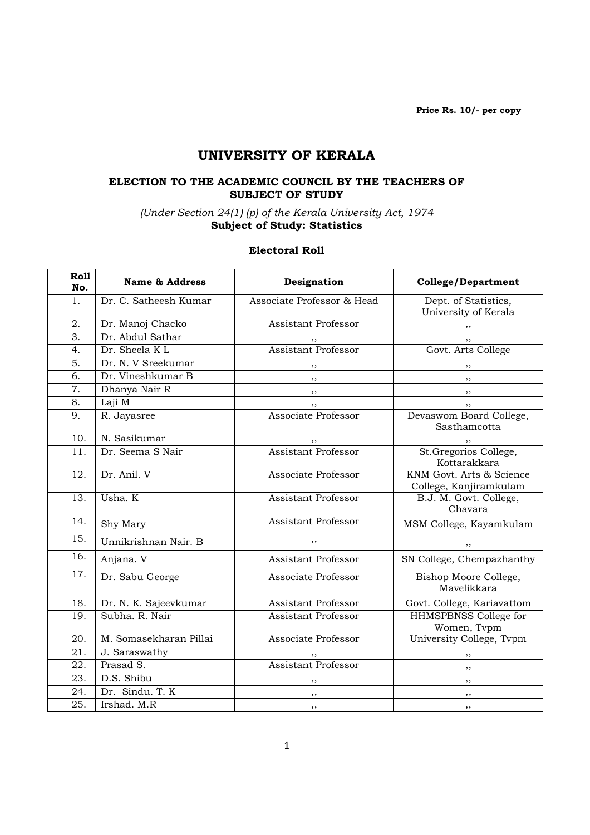Price Rs. 10/- per copy

# UNIVERSITY OF KERALA

#### ELECTION TO THE ACADEMIC COUNCIL BY THE TEACHERS OF SUBJECT OF STUDY

#### (Under Section 24(1) (p) of the Kerala University Act, 1974 Subject of Study: Statistics

#### Electoral Roll

| <b>Roll</b><br>No. | <b>Name &amp; Address</b> | Designation                | <b>College/Department</b>                          |
|--------------------|---------------------------|----------------------------|----------------------------------------------------|
| 1.                 | Dr. C. Satheesh Kumar     | Associate Professor & Head | Dept. of Statistics,<br>University of Kerala       |
| 2.                 | Dr. Manoj Chacko          | Assistant Professor        | ,,                                                 |
| $\overline{3}$ .   | Dr. Abdul Sathar          |                            | , ,                                                |
| 4.                 | Dr. Sheela K L            | <b>Assistant Professor</b> | Govt. Arts College                                 |
| 5.                 | Dr. N. V Sreekumar        |                            |                                                    |
| 6.                 | Dr. Vineshkumar B         | ,,                         | , ,                                                |
| $\overline{7}$ .   | Dhanya Nair R             | ,,                         | ,,                                                 |
| 8.                 | Laji M                    |                            |                                                    |
| 9.                 | R. Jayasree               | Associate Professor        | Devaswom Board College,<br>Sasthamcotta            |
| 10.                | N. Sasikumar              |                            |                                                    |
| 11.                | Dr. Seema S Nair          | <b>Assistant Professor</b> | St.Gregorios College,<br>Kottarakkara              |
| 12.                | Dr. Anil. V               | Associate Professor        | KNM Govt. Arts & Science<br>College, Kanjiramkulam |
| 13.                | Usha. K                   | <b>Assistant Professor</b> | B.J. M. Govt. College,<br>Chavara                  |
| 14.                | Shy Mary                  | <b>Assistant Professor</b> | MSM College, Kayamkulam                            |
| 15.                | Unnikrishnan Nair. B      | ,,                         |                                                    |
| 16.                | Anjana. V                 | <b>Assistant Professor</b> | SN College, Chempazhanthy                          |
| 17.                | Dr. Sabu George           | Associate Professor        | Bishop Moore College,<br>Mavelikkara               |
| 18.                | Dr. N. K. Sajeevkumar     | Assistant Professor        | Govt. College, Kariavattom                         |
| 19.                | Subha, R. Nair            | Assistant Professor        | HHMSPBNSS College for<br>Women, Tvpm               |
| 20.                | M. Somasekharan Pillai    | Associate Professor        | University College, Tvpm                           |
| 21.                | J. Saraswathy             |                            | , ,                                                |
| 22.                | Prasad S.                 | <b>Assistant Professor</b> | , ,                                                |
| 23.                | D.S. Shibu                | ,,                         | ,,                                                 |
| 24.                | Dr. Sindu. T. K           | ,,                         | $, \,$                                             |
| 25.                | Irshad. M.R               | $, \,$                     | , ,                                                |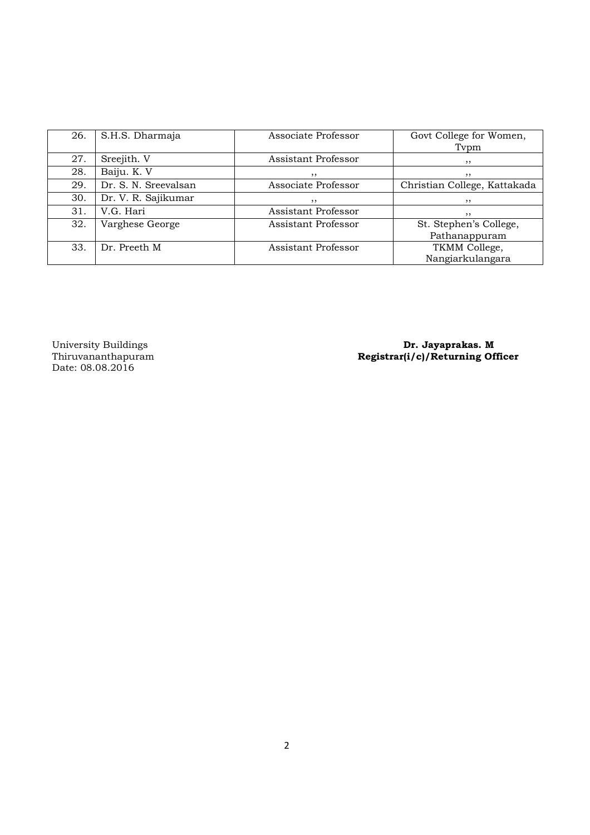| 26. | S.H.S. Dharmaja      | Associate Professor | Govt College for Women,      |
|-----|----------------------|---------------------|------------------------------|
|     |                      |                     | Typm                         |
| 27. | Sreejith. V          | Assistant Professor | , ,                          |
| 28. | Baiju. K. V          | ,,                  | , ,                          |
| 29. | Dr. S. N. Sreevalsan | Associate Professor | Christian College, Kattakada |
| 30. | Dr. V. R. Sajikumar  | , ,                 | , ,                          |
| 31. | V.G. Hari            | Assistant Professor | , ,                          |
| 32. | Varghese George      | Assistant Professor | St. Stephen's College,       |
|     |                      |                     | Pathanappuram                |
| 33. | Dr. Preeth M         | Assistant Professor | TKMM College,                |
|     |                      |                     | Nangiarkulangara             |

University Buildings<br>Thiruvananthapuram<br>Date: 08.08.2016

University Buildings **Dr. Jayaprakas. M** Thiruvananthapuram Registrar(i/c)/Returning Officer